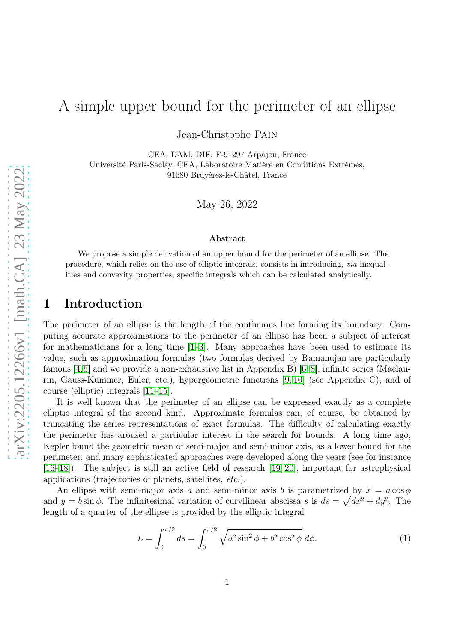## A simple upper bound for the perimeter of an ellipse

Jean-Christophe Pain

CEA, DAM, DIF, F-91297 Arpajon, France Université Paris-Saclay, CEA, Laboratoire Matière en Conditions Extrêmes, 91680 Bruyères-le-Châtel, France

May 26, 2022

#### Abstract

We propose a simple derivation of an upper bound for the perimeter of an ellipse. The procedure, which relies on the use of elliptic integrals, consists in introducing, via inequalities and convexity properties, specific integrals which can be calculated analytically.

#### 1 Introduction

The perimeter of an ellipse is the length of the continuous line forming its boundary. Computing accurate approximations to the perimeter of an ellipse has been a subject of interest for mathematicians for a long time  $[1-3]$ . Many approaches have been used to estimate its value, such as approximation formulas (two formulas derived by Ramanujan are particularly famous [\[4,](#page-6-2)[5\]](#page-6-3) and we provide a non-exhaustive list in Appendix B) [\[6](#page-6-4)[–8\]](#page-6-5), infinite series (Maclaurin, Gauss-Kummer, Euler, etc.), hypergeometric functions [\[9,](#page-6-6) [10\]](#page-6-7) (see Appendix C), and of course (elliptic) integrals [\[11](#page-6-8)[–15\]](#page-7-0).

It is well known that the perimeter of an ellipse can be expressed exactly as a complete elliptic integral of the second kind. Approximate formulas can, of course, be obtained by truncating the series representations of exact formulas. The difficulty of calculating exactly the perimeter has aroused a particular interest in the search for bounds. A long time ago, Kepler found the geometric mean of semi-major and semi-minor axis, as a lower bound for the perimeter, and many sophisticated approaches were developed along the years (see for instance [\[16–](#page-7-1)[18\]](#page-7-2)). The subject is still an active field of research [\[19,](#page-7-3) [20\]](#page-7-4), important for astrophysical applications (trajectories of planets, satellites, *etc.*).

An ellipse with semi-major axis a and semi-minor axis b is parametrized by  $x = a \cos \phi$ and  $y = b \sin \phi$ . The infinitesimal variation of curvilinear abscissa s is  $ds = \sqrt{dx^2 + dy^2}$ . The length of a quarter of the ellipse is provided by the elliptic integral

<span id="page-0-0"></span>
$$
L = \int_0^{\pi/2} ds = \int_0^{\pi/2} \sqrt{a^2 \sin^2 \phi + b^2 \cos^2 \phi} \, d\phi. \tag{1}
$$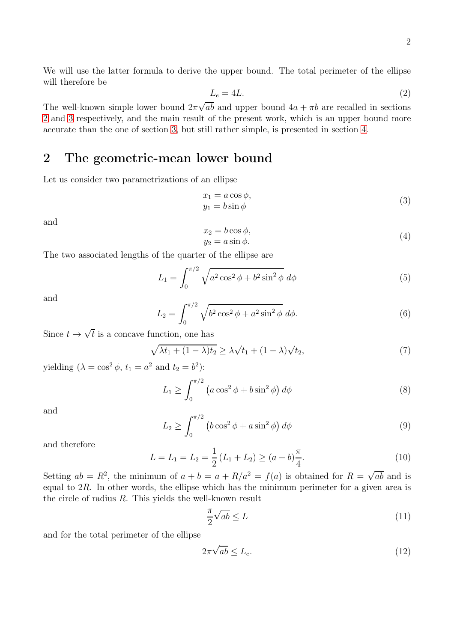We will use the latter formula to derive the upper bound. The total perimeter of the ellipse will therefore be

$$
L_e = 4L.\t\t(2)
$$

The well-known simple lower bound  $2\pi\sqrt{ab}$  and upper bound  $4a + \pi b$  are recalled in sections [2](#page-1-0) and [3](#page-2-0) respectively, and the main result of the present work, which is an upper bound more accurate than the one of section [3,](#page-2-0) but still rather simple, is presented in section [4.](#page-3-0)

### <span id="page-1-0"></span>2 The geometric-mean lower bound

Let us consider two parametrizations of an ellipse

$$
x_1 = a \cos \phi, \n y_1 = b \sin \phi
$$
\n(3)

and

$$
x_2 = b \cos \phi,
$$
  
\n
$$
y_2 = a \sin \phi.
$$
\n(4)

The two associated lengths of the quarter of the ellipse are

$$
L_1 = \int_0^{\pi/2} \sqrt{a^2 \cos^2 \phi + b^2 \sin^2 \phi} \, d\phi \tag{5}
$$

and

$$
L_2 = \int_0^{\pi/2} \sqrt{b^2 \cos^2 \phi + a^2 \sin^2 \phi} \, d\phi. \tag{6}
$$

Since  $t \to \sqrt{t}$  is a concave function, one has

$$
\sqrt{\lambda t_1 + (1 - \lambda)t_2} \ge \lambda \sqrt{t_1} + (1 - \lambda)\sqrt{t_2},\tag{7}
$$

yielding  $(\lambda = \cos^2 \phi, t_1 = a^2 \text{ and } t_2 = b^2)$ :

$$
L_1 \ge \int_0^{\pi/2} \left( a \cos^2 \phi + b \sin^2 \phi \right) d\phi \tag{8}
$$

and

$$
L_2 \ge \int_0^{\pi/2} \left( b \cos^2 \phi + a \sin^2 \phi \right) d\phi \tag{9}
$$

and therefore

$$
L = L_1 = L_2 = \frac{1}{2} (L_1 + L_2) \ge (a + b) \frac{\pi}{4}.
$$
 (10)

Setting  $ab = R^2$ , the minimum of  $a + b = a + R/a^2 = f(a)$  is obtained for  $R = \sqrt{ab}$  and is equal to  $2R$ . In other words, the ellipse which has the minimum perimeter for a given area is the circle of radius R. This yields the well-known result

$$
\frac{\pi}{2}\sqrt{ab} \le L\tag{11}
$$

and for the total perimeter of the ellipse

$$
2\pi\sqrt{ab} \le L_e. \tag{12}
$$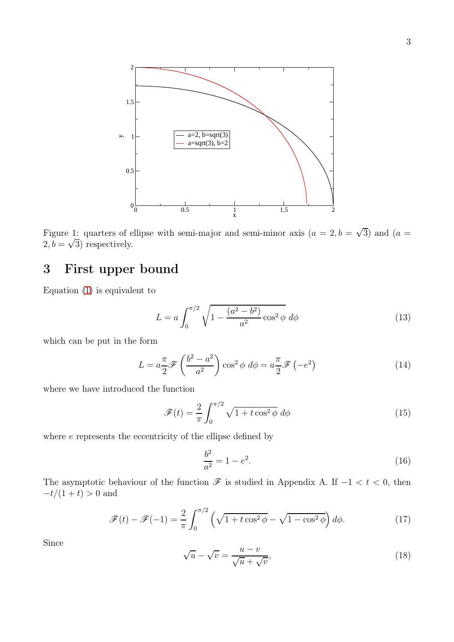

Figure 1: quarters of ellipse with semi-major and semi-minor axis  $(a = 2, b = \sqrt{3})$  and  $(a =$  $2, b = \sqrt{3}$  respectively.

### <span id="page-2-0"></span>3 First upper bound

Equation [\(1\)](#page-0-0) is equivalent to

$$
L = a \int_0^{\pi/2} \sqrt{1 - \frac{(a^2 - b^2)}{a^2} \cos^2 \phi} \, d\phi \tag{13}
$$

which can be put in the form

$$
L = a\frac{\pi}{2}\mathscr{F}\left(\frac{b^2 - a^2}{a^2}\right)\cos^2\phi \ d\phi = a\frac{\pi}{2}\mathscr{F}\left(-e^2\right) \tag{14}
$$

where we have introduced the function

$$
\mathcal{F}(t) = \frac{2}{\pi} \int_0^{\pi/2} \sqrt{1 + t \cos^2 \phi} \, d\phi \tag{15}
$$

where  $e$  represents the eccentricity of the ellipse defined by

$$
\frac{b^2}{a^2} = 1 - e^2. \tag{16}
$$

The asymptotic behaviour of the function  $\mathscr F$  is studied in Appendix A. If  $-1 < t < 0$ , then  $-t/(1 + t) > 0$  and

$$
\mathcal{F}(t) - \mathcal{F}(-1) = \frac{2}{\pi} \int_0^{\pi/2} \left( \sqrt{1 + t \cos^2 \phi} - \sqrt{1 - \cos^2 \phi} \right) d\phi. \tag{17}
$$

Since

$$
\sqrt{u} - \sqrt{v} = \frac{u - v}{\sqrt{u} + \sqrt{v}},\tag{18}
$$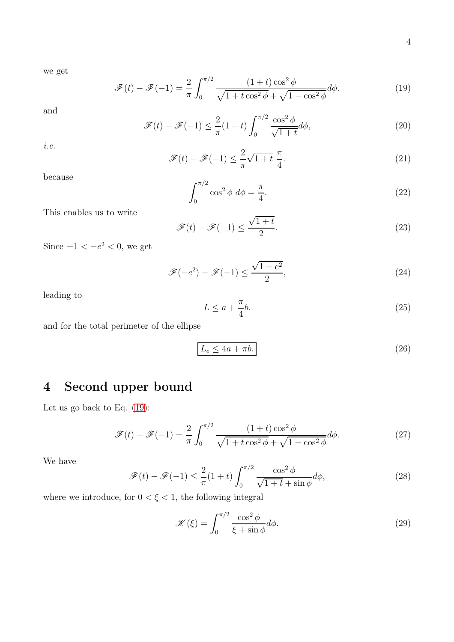we get

<span id="page-3-1"></span>
$$
\mathcal{F}(t) - \mathcal{F}(-1) = \frac{2}{\pi} \int_0^{\pi/2} \frac{(1+t)\cos^2\phi}{\sqrt{1+t\cos^2\phi} + \sqrt{1-\cos^2\phi}} d\phi.
$$
 (19)

and

$$
\mathcal{F}(t) - \mathcal{F}(-1) \le \frac{2}{\pi} (1+t) \int_0^{\pi/2} \frac{\cos^2 \phi}{\sqrt{1+t}} d\phi,\tag{20}
$$

*i.e.*

$$
\mathcal{F}(t) - \mathcal{F}(-1) \le \frac{2}{\pi} \sqrt{1+t} \frac{\pi}{4}.
$$
\n(21)

because

$$
\int_0^{\pi/2} \cos^2 \phi \ d\phi = \frac{\pi}{4}.\tag{22}
$$

This enables us to write

$$
\mathcal{F}(t) - \mathcal{F}(-1) \le \frac{\sqrt{1+t}}{2}.\tag{23}
$$

Since  $-1 < -e^2 < 0$ , we get

$$
\mathcal{F}(-e^2) - \mathcal{F}(-1) \le \frac{\sqrt{1 - e^2}}{2},\tag{24}
$$

leading to

<span id="page-3-3"></span><span id="page-3-2"></span>
$$
L \le a + \frac{\pi}{4}b. \tag{25}
$$

and for the total perimeter of the ellipse

$$
L_e \le 4a + \pi b. \tag{26}
$$

### <span id="page-3-0"></span>4 Second upper bound

Let us go back to Eq. [\(19\)](#page-3-1):

$$
\mathcal{F}(t) - \mathcal{F}(-1) = \frac{2}{\pi} \int_0^{\pi/2} \frac{(1+t)\cos^2\phi}{\sqrt{1+t\cos^2\phi} + \sqrt{1-\cos^2\phi}} d\phi.
$$
 (27)

We have

$$
\mathcal{F}(t) - \mathcal{F}(-1) \le \frac{2}{\pi} (1+t) \int_0^{\pi/2} \frac{\cos^2 \phi}{\sqrt{1+t} + \sin \phi} d\phi,\tag{28}
$$

where we introduce, for  $0<\xi<1,$  the following integral

$$
\mathcal{K}(\xi) = \int_0^{\pi/2} \frac{\cos^2 \phi}{\xi + \sin \phi} d\phi.
$$
 (29)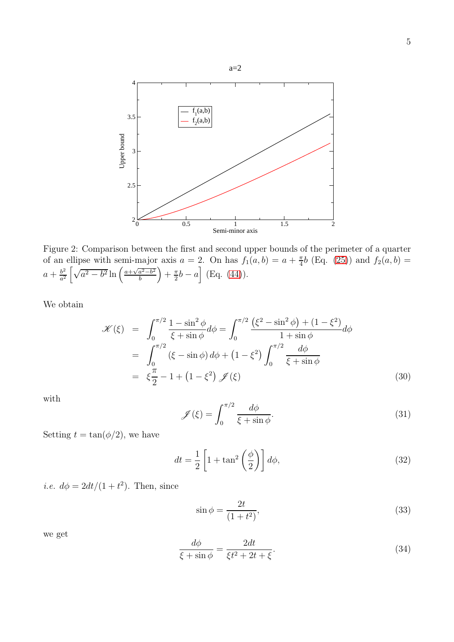

<span id="page-4-0"></span>Figure 2: Comparison between the first and second upper bounds of the perimeter of a quarter of an ellipse with semi-major axis  $a = 2$ . On has  $f_1(a, b) = a + \frac{\pi}{4}b$  (Eq. [\(25\)](#page-3-2)) and  $f_2(a, b) =$  $a + \frac{b^2}{a^2}$  $\frac{b^2}{a^2} \left[ \sqrt{a^2 - b^2} \ln \left( \frac{a + \sqrt{a^2 - b^2}}{b} \right) \right]$  $\left(\frac{a^2-b^2}{b}\right) + \frac{\pi}{2}b - a\right]$  (Eq. [\(44\)](#page-5-0)).

We obtain

$$
\mathcal{K}(\xi) = \int_0^{\pi/2} \frac{1 - \sin^2 \phi}{\xi + \sin \phi} d\phi = \int_0^{\pi/2} \frac{(\xi^2 - \sin^2 \phi) + (1 - \xi^2)}{1 + \sin \phi} d\phi
$$
  
= 
$$
\int_0^{\pi/2} (\xi - \sin \phi) d\phi + (1 - \xi^2) \int_0^{\pi/2} \frac{d\phi}{\xi + \sin \phi}
$$
  
= 
$$
\xi \frac{\pi}{2} - 1 + (1 - \xi^2) \mathcal{J}(\xi)
$$
(30)

with

$$
\mathscr{J}(\xi) = \int_0^{\pi/2} \frac{d\phi}{\xi + \sin \phi}.\tag{31}
$$

Setting  $t = \tan(\phi/2)$ , we have

$$
dt = \frac{1}{2} \left[ 1 + \tan^2 \left( \frac{\phi}{2} \right) \right] d\phi,\tag{32}
$$

*i.e.*  $d\phi = 2dt/(1+t^2)$ . Then, since

$$
\sin \phi = \frac{2t}{(1+t^2)},\tag{33}
$$

we get

$$
\frac{d\phi}{\xi + \sin \phi} = \frac{2dt}{\xi t^2 + 2t + \xi}.
$$
\n(34)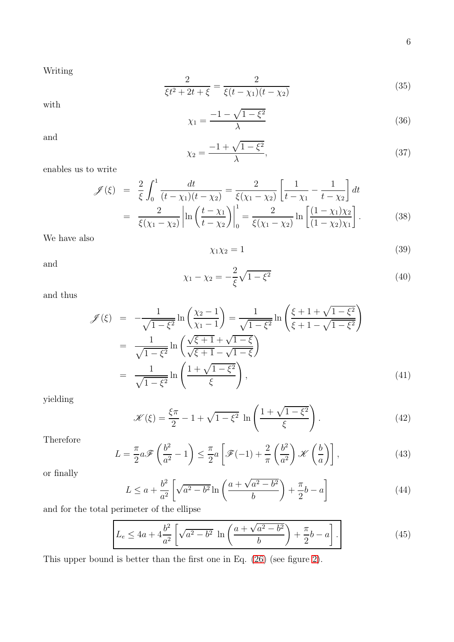Writing

$$
\frac{2}{\xi t^2 + 2t + \xi} = \frac{2}{\xi(t - \chi_1)(t - \chi_2)}
$$
(35)

with

$$
\chi_1 = \frac{-1 - \sqrt{1 - \xi^2}}{\lambda} \tag{36}
$$

and

$$
\chi_2 = \frac{-1 + \sqrt{1 - \xi^2}}{\lambda},
$$
\n(37)

enables us to write

$$
\mathcal{J}(\xi) = \frac{2}{\xi} \int_0^1 \frac{dt}{(t - \chi_1)(t - \chi_2)} = \frac{2}{\xi(\chi_1 - \chi_2)} \left[ \frac{1}{t - \chi_1} - \frac{1}{t - \chi_2} \right] dt
$$
  
= 
$$
\frac{2}{\xi(\chi_1 - \chi_2)} \left| \ln \left( \frac{t - \chi_1}{t - \chi_2} \right) \right|_0^1 = \frac{2}{\xi(\chi_1 - \chi_2)} \ln \left[ \frac{(1 - \chi_1)\chi_2}{(1 - \chi_2)\chi_1} \right].
$$
 (38)

We have also

$$
\chi_1 \chi_2 = 1 \tag{39}
$$

and

$$
\chi_1 - \chi_2 = -\frac{2}{\xi} \sqrt{1 - \xi^2} \tag{40}
$$

and thus

$$
\mathcal{J}(\xi) = -\frac{1}{\sqrt{1 - \xi^2}} \ln \left( \frac{\chi_2 - 1}{\chi_1 - 1} \right) = \frac{1}{\sqrt{1 - \xi^2}} \ln \left( \frac{\xi + 1 + \sqrt{1 - \xi^2}}{\xi + 1 - \sqrt{1 - \xi^2}} \right)
$$
  
\n
$$
= \frac{1}{\sqrt{1 - \xi^2}} \ln \left( \frac{\sqrt{\xi + 1} + \sqrt{1 - \xi}}{\sqrt{\xi + 1} - \sqrt{1 - \xi}} \right)
$$
  
\n
$$
= \frac{1}{\sqrt{1 - \xi^2}} \ln \left( \frac{1 + \sqrt{1 - \xi^2}}{\xi} \right),
$$
(41)

yielding

$$
\mathcal{K}(\xi) = \frac{\xi \pi}{2} - 1 + \sqrt{1 - \xi^2} \ln \left( \frac{1 + \sqrt{1 - \xi^2}}{\xi} \right). \tag{42}
$$

Therefore

$$
L = \frac{\pi}{2} a \mathscr{F}\left(\frac{b^2}{a^2} - 1\right) \le \frac{\pi}{2} a \left[\mathscr{F}(-1) + \frac{2}{\pi} \left(\frac{b^2}{a^2}\right) \mathscr{K}\left(\frac{b}{a}\right)\right],\tag{43}
$$

or finally

<span id="page-5-0"></span>
$$
L \le a + \frac{b^2}{a^2} \left[ \sqrt{a^2 - b^2} \ln \left( \frac{a + \sqrt{a^2 - b^2}}{b} \right) + \frac{\pi}{2} b - a \right]
$$
 (44)

and for the total perimeter of the ellipse

$$
L_e \le 4a + 4\frac{b^2}{a^2} \left[ \sqrt{a^2 - b^2} \ln \left( \frac{a + \sqrt{a^2 - b^2}}{b} \right) + \frac{\pi}{2} b - a \right].
$$
 (45)

This upper bound is better than the first one in Eq. [\(26\)](#page-3-3) (see figure [2\)](#page-4-0).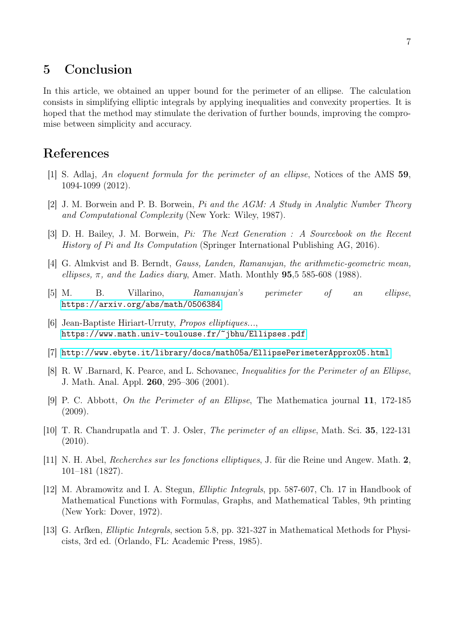### 5 Conclusion

In this article, we obtained an upper bound for the perimeter of an ellipse. The calculation consists in simplifying elliptic integrals by applying inequalities and convexity properties. It is hoped that the method may stimulate the derivation of further bounds, improving the compromise between simplicity and accuracy.

### <span id="page-6-0"></span>References

- [1] S. Adlaj, *An eloquent formula for the perimeter of an ellipse*, Notices of the AMS 59, 1094-1099 (2012).
- [2] J. M. Borwein and P. B. Borwein, *Pi and the AGM: A Study in Analytic Number Theory and Computational Complexity* (New York: Wiley, 1987).
- <span id="page-6-1"></span>[3] D. H. Bailey, J. M. Borwein, *Pi: The Next Generation : A Sourcebook on the Recent History of Pi and Its Computation* (Springer International Publishing AG, 2016).
- <span id="page-6-3"></span><span id="page-6-2"></span>[4] G. Almkvist and B. Berndt, *Gauss, Landen, Ramanujan, the arithmetic-geometric mean, ellipses,* π*, and the Ladies diary*, Amer. Math. Monthly 95,5 585-608 (1988).
- <span id="page-6-4"></span>[5] M. B. Villarino, *Ramanujan's perimeter of an ellipse*, <https://arxiv.org/abs/math/0506384>
- [6] Jean-Baptiste Hiriart-Urruty, *Propos elliptiques...*, <https://www.math.univ-toulouse.fr/~jbhu/Ellipses.pdf>
- <span id="page-6-5"></span>[7] <http://www.ebyte.it/library/docs/math05a/EllipsePerimeterApprox05.html>
- [8] R. W .Barnard, K. Pearce, and L. Schovanec, *Inequalities for the Perimeter of an Ellipse*, J. Math. Anal. Appl. 260, 295–306 (2001).
- <span id="page-6-6"></span>[9] P. C. Abbott, *On the Perimeter of an Ellipse*, The Mathematica journal 11, 172-185 (2009).
- <span id="page-6-7"></span>[10] T. R. Chandrupatla and T. J. Osler, *The perimeter of an ellipse*, Math. Sci. 35, 122-131 (2010).
- <span id="page-6-8"></span>[11] N. H. Abel, *Recherches sur les fonctions elliptiques*, J. für die Reine und Angew. Math. 2, 101–181 (1827).
- [12] M. Abramowitz and I. A. Stegun, *Elliptic Integrals*, pp. 587-607, Ch. 17 in Handbook of Mathematical Functions with Formulas, Graphs, and Mathematical Tables, 9th printing (New York: Dover, 1972).
- [13] G. Arfken, *Elliptic Integrals*, section 5.8, pp. 321-327 in Mathematical Methods for Physicists, 3rd ed. (Orlando, FL: Academic Press, 1985).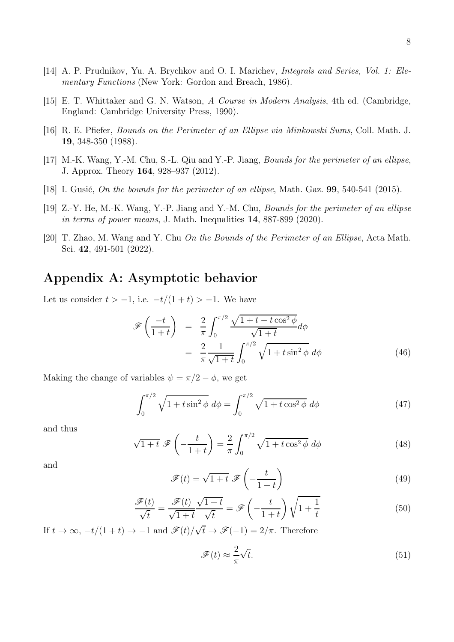- <span id="page-7-1"></span><span id="page-7-0"></span>[15] E. T. Whittaker and G. N. Watson, *A Course in Modern Analysis*, 4th ed. (Cambridge, England: Cambridge University Press, 1990).
- [16] R. E. Pfiefer, *Bounds on the Perimeter of an Ellipse via Minkowski Sums*, Coll. Math. J. 19, 348-350 (1988).
- <span id="page-7-2"></span>[17] M.-K. Wang, Y.-M. Chu, S.-L. Qiu and Y.-P. Jiang, *Bounds for the perimeter of an ellipse*, J. Approx. Theory 164, 928–937 (2012).
- <span id="page-7-3"></span>[18] I. Gusić, *On the bounds for the perimeter of an ellipse*, Math. Gaz. 99, 540-541 (2015).
- [19] Z.-Y. He, M.-K. Wang, Y.-P. Jiang and Y.-M. Chu, *Bounds for the perimeter of an ellipse in terms of power means*, J. Math. Inequalities 14, 887-899 (2020).
- <span id="page-7-4"></span>[20] T. Zhao, M. Wang and Y. Chu *On the Bounds of the Perimeter of an Ellipse*, Acta Math. Sci. 42, 491-501 (2022).

### Appendix A: Asymptotic behavior

Let us consider  $t > -1$ , i.e.  $-t/(1+t) > -1$ . We have

$$
\mathcal{F}\left(\frac{-t}{1+t}\right) = \frac{2}{\pi} \int_0^{\pi/2} \frac{\sqrt{1+t-t\cos^2\phi}}{\sqrt{1+t}} d\phi
$$

$$
= \frac{2}{\pi} \frac{1}{\sqrt{1+t}} \int_0^{\pi/2} \sqrt{1+t\sin^2\phi} d\phi \tag{46}
$$

Making the change of variables  $\psi = \pi/2 - \phi$ , we get

$$
\int_0^{\pi/2} \sqrt{1 + t \sin^2 \phi} \, d\phi = \int_0^{\pi/2} \sqrt{1 + t \cos^2 \phi} \, d\phi \tag{47}
$$

and thus

$$
\sqrt{1+t} \mathscr{F}\left(-\frac{t}{1+t}\right) = \frac{2}{\pi} \int_0^{\pi/2} \sqrt{1+t\cos^2\phi} \,d\phi \tag{48}
$$

and

$$
\mathscr{F}(t) = \sqrt{1+t} \; \mathscr{F}\left(-\frac{t}{1+t}\right) \tag{49}
$$

$$
\frac{\mathcal{F}(t)}{\sqrt{t}} = \frac{\mathcal{F}(t)}{\sqrt{1+t}} \frac{\sqrt{1+t}}{\sqrt{t}} = \mathcal{F}\left(-\frac{t}{1+t}\right)\sqrt{1+\frac{1}{t}}
$$
(50)

If  $t \to \infty$ ,  $-t/(1+t) \to -1$  and  $\mathscr{F}(t)/\sqrt{t} \to \mathscr{F}(-1) = 2/\pi$ . Therefore

$$
\mathcal{F}(t) \approx \frac{2}{\pi} \sqrt{t}.\tag{51}
$$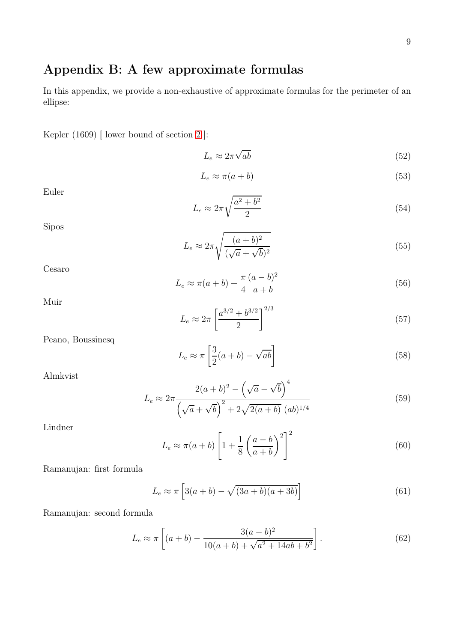### Appendix B: A few approximate formulas

In this appendix, we provide a non-exhaustive of approximate formulas for the perimeter of an ellipse:

Kepler (1609) [ lower bound of section [2](#page-1-0) ]:

$$
L_e \approx 2\pi\sqrt{ab} \tag{52}
$$

$$
L_e \approx \pi(a+b) \tag{53}
$$

Euler

$$
L_e \approx 2\pi \sqrt{\frac{a^2 + b^2}{2}}\tag{54}
$$

Sipos

$$
L_e \approx 2\pi \sqrt{\frac{(a+b)^2}{(\sqrt{a}+\sqrt{b})^2}}
$$
\n(55)

Cesaro

$$
L_e \approx \pi(a+b) + \frac{\pi}{4} \frac{(a-b)^2}{a+b}
$$
\n(56)

Muir

$$
L_e \approx 2\pi \left[\frac{a^{3/2} + b^{3/2}}{2}\right]^{2/3} \tag{57}
$$

Peano, Boussinesq

$$
L_e \approx \pi \left[ \frac{3}{2}(a+b) - \sqrt{ab} \right]
$$
 (58)

Almkvist

$$
L_e \approx 2\pi \frac{2(a+b)^2 - (\sqrt{a} - \sqrt{b})^4}{(\sqrt{a} + \sqrt{b})^2 + 2\sqrt{2(a+b)} (ab)^{1/4}}
$$
(59)

Lindner

$$
L_e \approx \pi(a+b) \left[ 1 + \frac{1}{8} \left( \frac{a-b}{a+b} \right)^2 \right]^2 \tag{60}
$$

Ramanujan: first formula

$$
L_e \approx \pi \left[ 3(a+b) - \sqrt{(3a+b)(a+3b)} \right]
$$
\n(61)

Ramanujan: second formula

$$
L_e \approx \pi \left[ (a+b) - \frac{3(a-b)^2}{10(a+b) + \sqrt{a^2 + 14ab + b^2}} \right].
$$
 (62)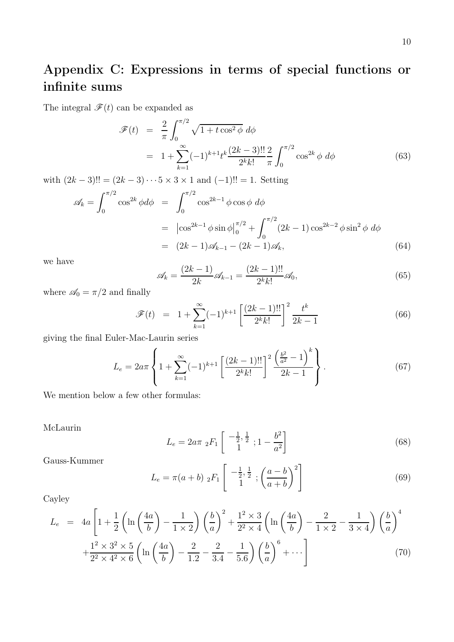# Appendix C: Expressions in terms of special functions or infinite sums

The integral  $\mathscr{F}(t)$  can be expanded as

$$
\mathcal{F}(t) = \frac{2}{\pi} \int_0^{\pi/2} \sqrt{1 + t \cos^2 \phi} \, d\phi
$$
  
=  $1 + \sum_{k=1}^{\infty} (-1)^{k+1} t^k \frac{(2k-3)!!}{2^k k!} \frac{2}{\pi} \int_0^{\pi/2} \cos^{2k} \phi \, d\phi$  (63)

with  $(2k-3)!! = (2k-3)\cdots 5 \times 3 \times 1$  and  $(-1)!! = 1$ . Setting

$$
\mathscr{A}_k = \int_0^{\pi/2} \cos^{2k} \phi d\phi = \int_0^{\pi/2} \cos^{2k-1} \phi \cos \phi d\phi
$$
  
=  $|\cos^{2k-1} \phi \sin \phi|_0^{\pi/2} + \int_0^{\pi/2} (2k-1) \cos^{2k-2} \phi \sin^2 \phi d\phi$   
=  $(2k-1)\mathscr{A}_{k-1} - (2k-1)\mathscr{A}_k,$  (64)

we have

$$
\mathscr{A}_k = \frac{(2k-1)}{2k} \mathscr{A}_{k-1} = \frac{(2k-1)!!}{2^k k!} \mathscr{A}_0,\tag{65}
$$

where  $\mathcal{A}_0 = \pi/2$  and finally

$$
\mathcal{F}(t) = 1 + \sum_{k=1}^{\infty} (-1)^{k+1} \left[ \frac{(2k-1)!!}{2^k k!} \right]^2 \frac{t^k}{2k-1}
$$
 (66)

giving the final Euler-Mac-Laurin series

$$
L_e = 2a\pi \left\{ 1 + \sum_{k=1}^{\infty} (-1)^{k+1} \left[ \frac{(2k-1)!!}{2^k k!} \right]^2 \frac{\left( \frac{b^2}{a^2} - 1 \right)^k}{2k - 1} \right\}.
$$
 (67)

We mention below a few other formulas:

McLaurin

$$
L_e = 2a\pi \, _2F_1 \left[ \begin{array}{c} -\frac{1}{2}, \frac{1}{2} \\ 1 \end{array}; 1 - \frac{b^2}{a^2} \right] \tag{68}
$$

Gauss-Kummer

$$
L_e = \pi(a+b) \; _2F_1 \left[ \begin{array}{c} -\frac{1}{2}, \frac{1}{2} \\ 1 \end{array}; \left( \frac{a-b}{a+b} \right)^2 \right] \tag{69}
$$

Cayley

$$
L_e = 4a \left[ 1 + \frac{1}{2} \left( \ln \left( \frac{4a}{b} \right) - \frac{1}{1 \times 2} \right) \left( \frac{b}{a} \right)^2 + \frac{1^2 \times 3}{2^2 \times 4} \left( \ln \left( \frac{4a}{b} \right) - \frac{2}{1 \times 2} - \frac{1}{3 \times 4} \right) \left( \frac{b}{a} \right)^4 + \frac{1^2 \times 3^2 \times 5}{2^2 \times 4^2 \times 6} \left( \ln \left( \frac{4a}{b} \right) - \frac{2}{1.2} - \frac{2}{3.4} - \frac{1}{5.6} \right) \left( \frac{b}{a} \right)^6 + \cdots \right]
$$
(70)